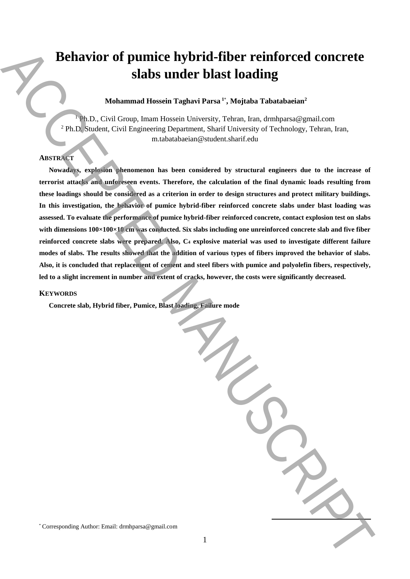# **Behavior of pumice hybrid-fiber reinforced concrete slabs under blast loading**

### **Mohammad Hossein Taghavi Parsa <sup>1</sup>**\* **, Mojtaba Tabatabaeian<sup>2</sup>**

<sup>1</sup> Ph.D., Civil Group, Imam Hossein University, Tehran, Iran, drmhparsa@gmail.com <sup>2</sup> Ph.D. Student, Civil Engineering Department, Sharif University of Technology, Tehran, Iran, m.tabatabaeian@student.sharif.edu

## **ABSTRACT**

**Nowadays, explosion phenomenon has been considered by structural engineers due to the increase of terrorist attacks and unforeseen events. Therefore, the calculation of the final dynamic loads resulting from these loadings should be considered as a criterion in order to design structures and protect military buildings. In this investigation, the behavior of pumice hybrid-fiber reinforced concrete slabs under blast loading was assessed. To evaluate the performance of pumice hybrid-fiber reinforced concrete, contact explosion test on slabs with dimensions 100×100×10 cm was conducted. Six slabs including one unreinforced concrete slab and five fiber reinforced concrete slabs were prepared. Also, C<sup>4</sup> explosive material was used to investigate different failure modes of slabs. The results showed that the addition of various types of fibers improved the behavior of slabs. Also, it is concluded that replacement of cement and steel fibers with pumice and polyolefin fibers, respectively, led to a slight increment in number and extent of cracks, however, the costs were significantly decreased.** Behavior of pumice hybrid-fiber reinforced concrete<br>
slabs under blast loading<br>
Mohammad Bosch Taghavi Pass<sup>a, "</sup>Alojaha Tabatabadan"<br>
(Passachen, Graf Grogoscous, Graf Espaces is there are a start linearly and control an

1

#### **KEYWORDS**

**Concrete slab, Hybrid fiber, Pumice, Blast loading, Failure mode**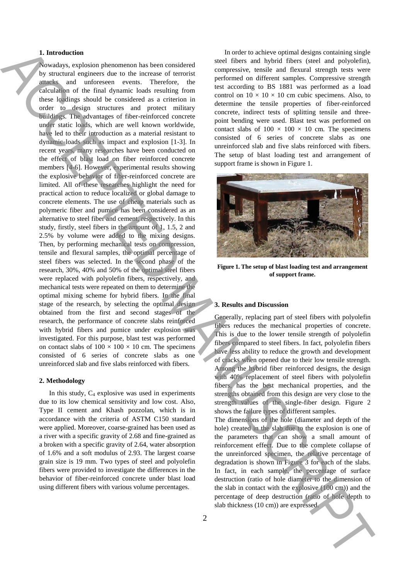#### **1. Introduction**

Nowadays, explosion phenomenon has been considered by structural engineers due to the increase of terrorist attacks and unforeseen events. Therefore, the calculation of the final dynamic loads resulting from these loadings should be considered as a criterion in order to design structures and protect military buildings. The advantages of fiber-reinforced concrete under static loads, which are well known worldwide, have led to their introduction as a material resistant to dynamic loads such as impact and explosion [1-3]. In recent years, many researches have been conducted on the effect of blast load on fiber reinforced concrete members [4-6]. However, experimental results showing the explosive behavior of fiber-reinforced concrete are limited. All of these researches highlight the need for practical action to reduce localized or global damage to concrete elements. The use of cheap materials such as polymeric fiber and pumice has been considered as an alternative to steel fiber and cement, respectively. In this study, firstly, steel fibers in the amount of 1, 1.5, 2 and 2.5% by volume were added to the mixing designs. Then, by performing mechanical tests on compression, tensile and flexural samples, the optimal percentage of steel fibers was selected. In the second phase of the research, 30%, 40% and 50% of the optimal steel fibers were replaced with polyolefin fibers, respectively, and mechanical tests were repeated on them to determine the optimal mixing scheme for hybrid fibers. In the final stage of the research, by selecting the optimal design obtained from the first and second stages of the research, the performance of concrete slabs reinforced with hybrid fibers and pumice under explosion was investigated. For this purpose, blast test was performed on contact slabs of  $100 \times 100 \times 10$  cm. The specimens consisted of 6 series of concrete slabs as one unreinforced slab and five slabs reinforced with fibers. **1.** Interest on the interest in the state of the interest of the interest of the interest of the interest of the interest of the interest of the interest of the interest of the interest of the interest of the interest of

#### **2. Methodology**

In this study,  $C_4$  explosive was used in experiments due to its low chemical sensitivity and low cost. Also, Type II cement and Khash pozzolan, which is in accordance with the criteria of ASTM C150 standard were applied. Moreover, coarse-grained has been used as a river with a specific gravity of 2.68 and fine-grained as a broken with a specific gravity of 2.64, water absorption of 1.6% and a soft modulus of 2.93. The largest coarse grain size is 19 mm. Two types of steel and polyolefin fibers were provided to investigate the differences in the behavior of fiber-reinforced concrete under blast load using different fibers with various volume percentages.

In order to achieve optimal designs containing single steel fibers and hybrid fibers (steel and polyolefin), compressive, tensile and flexural strength tests were performed on different samples. Compressive strength test according to BS 1881 was performed as a load control on  $10 \times 10 \times 10$  cm cubic specimens. Also, to determine the tensile properties of fiber-reinforced concrete, indirect tests of splitting tensile and threepoint bending were used. Blast test was performed on contact slabs of  $100 \times 100 \times 10$  cm. The specimens consisted of 6 series of concrete slabs as one unreinforced slab and five slabs reinforced with fibers. The setup of blast loading test and arrangement of support frame is shown in Figure 1.



**Figure 1. The setup of blast loading test and arrangement of support frame.**

#### **3. Results and Discussion**

Generally, replacing part of steel fibers with polyolefin fibers reduces the mechanical properties of concrete. This is due to the lower tensile strength of polyolefin fibers compared to steel fibers. In fact, polyolefin fibers have less ability to reduce the growth and development of cracks when opened due to their low tensile strength. Among the hybrid fiber reinforced designs, the design with 40% replacement of steel fibers with polyolefin fibers, has the best mechanical properties, and the strengths obtained from this design are very close to the strength values of the single-fiber design. Figure 2 shows the failure types of different samples.

The dimensions of the hole (diameter and depth of the hole) created in the slab due to the explosion is one of the parameters that can show a small amount of reinforcement effect. Due to the complete collapse of the unreinforced specimen, the relative percentage of degradation is shown in Figure 3 for each of the slabs. In fact, in each sample, the percentage of surface destruction (ratio of hole diameter to the dimension of the slab in contact with the explosive (100 cm)) and the percentage of deep destruction (ratio of hole depth to